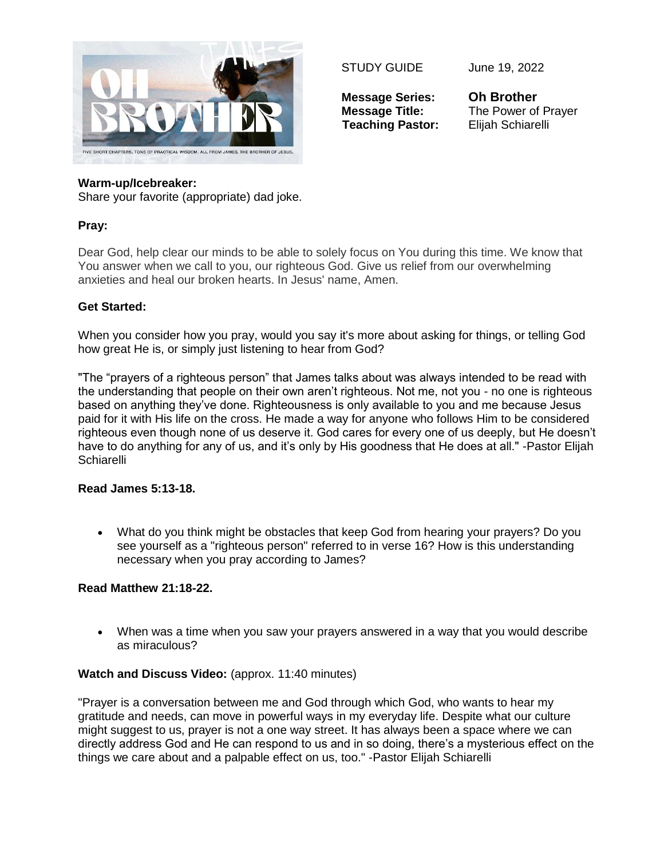

STUDY GUIDE June 19, 2022

**Message Series: Oh Brother Teaching Pastor:** Elijah Schiarelli

**Message Title:** The Power of Prayer

### **Warm-up/Icebreaker:**

Share your favorite (appropriate) dad joke.

# **Pray:**

Dear God, help clear our minds to be able to solely focus on You during this time. We know that You answer when we call to you, our righteous God. Give us relief from our overwhelming anxieties and heal our broken hearts. In Jesus' name, Amen.

## **Get Started:**

When you consider how you pray, would you say it's more about asking for things, or telling God how great He is, or simply just listening to hear from God?

"The "prayers of a righteous person" that James talks about was always intended to be read with the understanding that people on their own aren't righteous. Not me, not you - no one is righteous based on anything they've done. Righteousness is only available to you and me because Jesus paid for it with His life on the cross. He made a way for anyone who follows Him to be considered righteous even though none of us deserve it. God cares for every one of us deeply, but He doesn't have to do anything for any of us, and it's only by His goodness that He does at all." -Pastor Elijah **Schiarelli** 

#### **Read James 5:13-18.**

 What do you think might be obstacles that keep God from hearing your prayers? Do you see yourself as a "righteous person" referred to in verse 16? How is this understanding necessary when you pray according to James?

# **Read Matthew 21:18-22.**

 When was a time when you saw your prayers answered in a way that you would describe as miraculous?

# **Watch and Discuss Video:** (approx. 11:40 minutes)

"Prayer is a conversation between me and God through which God, who wants to hear my gratitude and needs, can move in powerful ways in my everyday life. Despite what our culture might suggest to us, prayer is not a one way street. It has always been a space where we can directly address God and He can respond to us and in so doing, there's a mysterious effect on the things we care about and a palpable effect on us, too." -Pastor Elijah Schiarelli